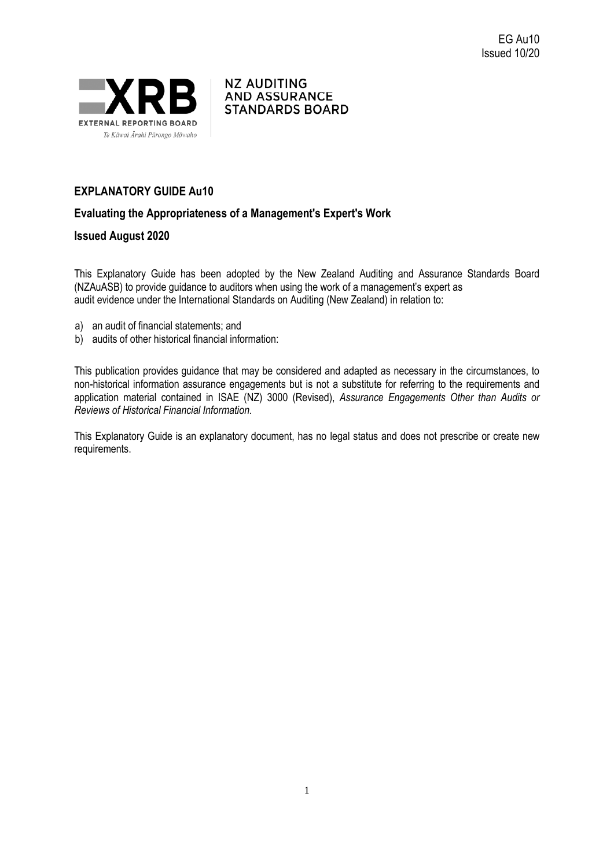



## **EXPLANATORY GUIDE Au10**

### **Evaluating the Appropriateness of a Management's Expert's Work**

### **Issued August 2020**

This Explanatory Guide has been adopted by the New Zealand Auditing and Assurance Standards Board (NZAuASB) to provide guidance to auditors when using the work of a management's expert as audit evidence under the International Standards on Auditing (New Zealand) in relation to:

- a) an audit of financial statements; and
- b) audits of other historical financial information:

This publication provides guidance that may be considered and adapted as necessary in the circumstances, to non-historical information assurance engagements but is not a substitute for referring to the requirements and application material contained in ISAE (NZ) 3000 (Revised), *Assurance Engagements Other than Audits or Reviews of Historical Financial Information.*

This Explanatory Guide is an explanatory document, has no legal status and does not prescribe or create new requirements.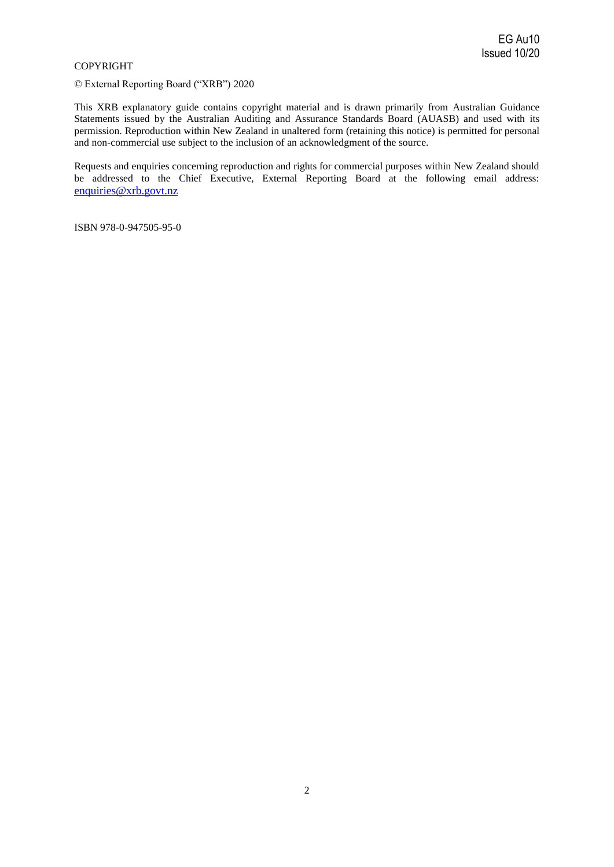#### COPYRIGHT

© External Reporting Board ("XRB") 2020

This XRB explanatory guide contains copyright material and is drawn primarily from Australian Guidance Statements issued by the Australian Auditing and Assurance Standards Board (AUASB) and used with its permission. Reproduction within New Zealand in unaltered form (retaining this notice) is permitted for personal and non-commercial use subject to the inclusion of an acknowledgment of the source.

Requests and enquiries concerning reproduction and rights for commercial purposes within New Zealand should be addressed to the Chief Executive, External Reporting Board at the following email address: [enquiries@xrb.govt.nz](mailto:enquiries@xrb.govt.nz)

ISBN 978-0-947505-95-0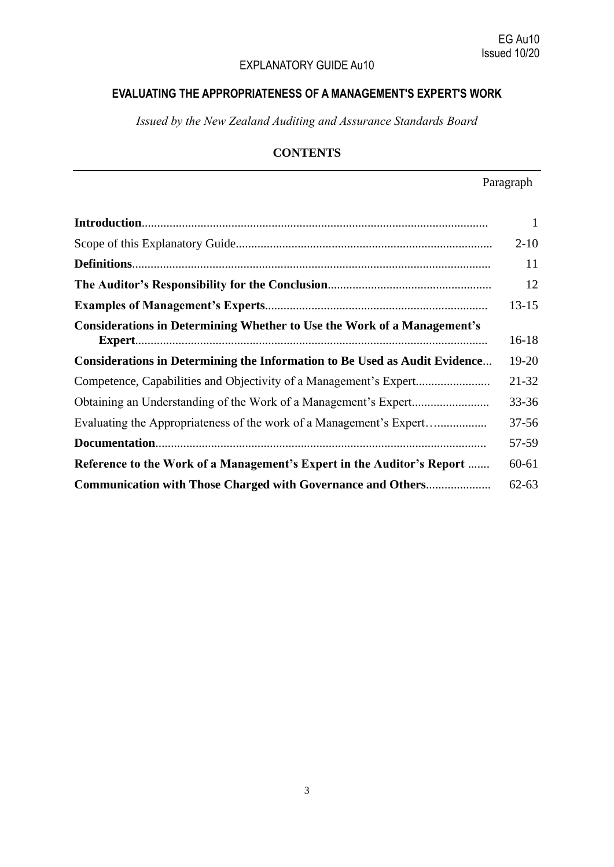# EXPLANATORY GUIDE Au10

# **EVALUATING THE APPROPRIATENESS OF A MANAGEMENT'S EXPERT'S WORK**

*Issued by the New Zealand Auditing and Assurance Standards Board*

# **CONTENTS**

# Paragraph

|                                                                                   | $\mathbf{1}$ |
|-----------------------------------------------------------------------------------|--------------|
|                                                                                   | $2 - 10$     |
|                                                                                   | 11           |
|                                                                                   | 12           |
|                                                                                   | $13 - 15$    |
| <b>Considerations in Determining Whether to Use the Work of a Management's</b>    | $16 - 18$    |
| <b>Considerations in Determining the Information to Be Used as Audit Evidence</b> | 19-20        |
|                                                                                   | 21-32        |
|                                                                                   | $33 - 36$    |
|                                                                                   | $37 - 56$    |
|                                                                                   | 57-59        |
| Reference to the Work of a Management's Expert in the Auditor's Report            | $60 - 61$    |
| <b>Communication with Those Charged with Governance and Others</b>                | $62 - 63$    |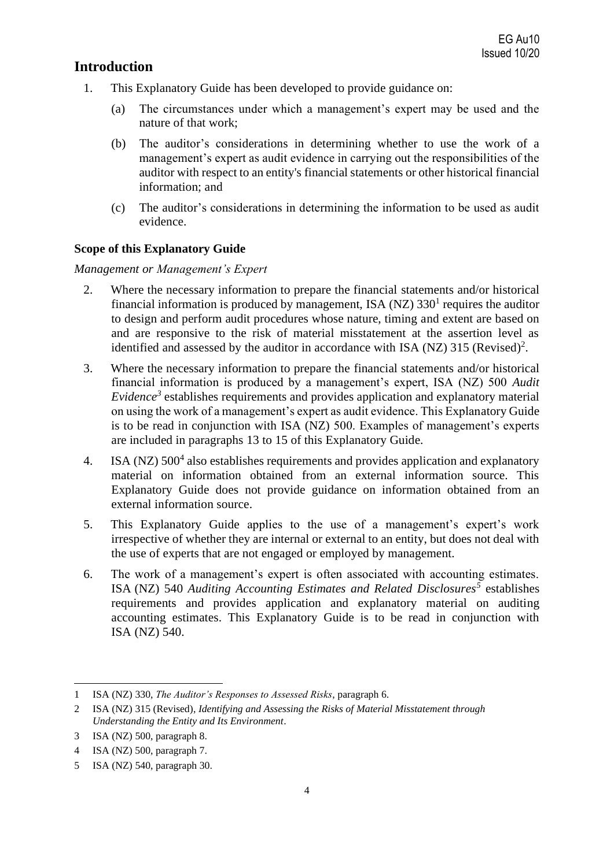# **Introduction**

- 1. This Explanatory Guide has been developed to provide guidance on:
	- (a) The circumstances under which a management's expert may be used and the nature of that work;
	- (b) The auditor's considerations in determining whether to use the work of a management's expert as audit evidence in carrying out the responsibilities of the auditor with respect to an entity's financial statements or other historical financial information; and
	- (c) The auditor's considerations in determining the information to be used as audit evidence.

## **Scope of this Explanatory Guide**

## *Management or Management's Expert*

- 2. Where the necessary information to prepare the financial statements and/or historical financial information is produced by management, ISA ( $NZ$ ) 330<sup>1</sup> requires the auditor to design and perform audit procedures whose nature, timing and extent are based on and are responsive to the risk of material misstatement at the assertion level as identified and assessed by the auditor in accordance with ISA (NZ) 315 (Revised)<sup>2</sup>.
- 3. Where the necessary information to prepare the financial statements and/or historical financial information is produced by a management's expert, ISA (NZ) 500 *Audit Evidence<sup>3</sup>* establishes requirements and provides application and explanatory material on using the work of a management's expert as audit evidence. This Explanatory Guide is to be read in conjunction with ISA (NZ) 500. Examples of management's experts are included in paragraphs 13 to 15 of this Explanatory Guide.
- 4. ISA (NZ) 500<sup>4</sup> also establishes requirements and provides application and explanatory material on information obtained from an external information source. This Explanatory Guide does not provide guidance on information obtained from an external information source.
- 5. This Explanatory Guide applies to the use of a management's expert's work irrespective of whether they are internal or external to an entity, but does not deal with the use of experts that are not engaged or employed by management.
- 6. The work of a management's expert is often associated with accounting estimates. ISA (NZ) 540 *Auditing Accounting Estimates and Related Disclosures<sup>5</sup>* establishes requirements and provides application and explanatory material on auditing accounting estimates. This Explanatory Guide is to be read in conjunction with ISA (NZ) 540.

<sup>1</sup> ISA (NZ) 330, *The Auditor's Responses to Assessed Risks*, paragraph 6.

<sup>2</sup> ISA (NZ) 315 (Revised), *Identifying and Assessing the Risks of Material Misstatement through Understanding the Entity and Its Environment*.

<sup>3</sup> ISA (NZ) 500, paragraph 8.

<sup>4</sup> ISA (NZ) 500, paragraph 7.

<sup>5</sup> ISA (NZ) 540, paragraph 30.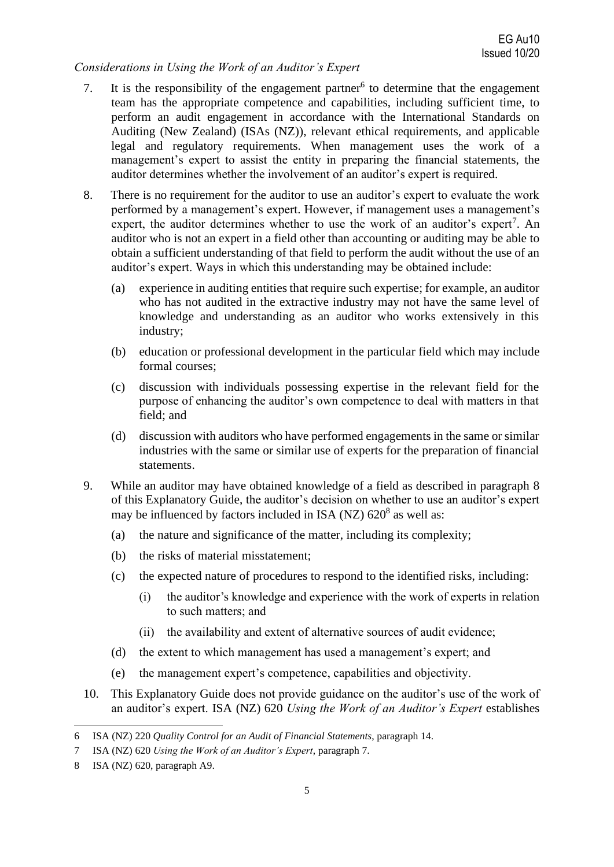## *Considerations in Using the Work of an Auditor's Expert*

- 7. It is the responsibility of the engagement partner<sup>6</sup> to determine that the engagement team has the appropriate competence and capabilities, including sufficient time, to perform an audit engagement in accordance with the International Standards on Auditing (New Zealand) (ISAs (NZ)), relevant ethical requirements, and applicable legal and regulatory requirements. When management uses the work of a management's expert to assist the entity in preparing the financial statements, the auditor determines whether the involvement of an auditor's expert is required.
- 8. There is no requirement for the auditor to use an auditor's expert to evaluate the work performed by a management's expert. However, if management uses a management's expert, the auditor determines whether to use the work of an auditor's expert<sup>7</sup>. An auditor who is not an expert in a field other than accounting or auditing may be able to obtain a sufficient understanding of that field to perform the audit without the use of an auditor's expert. Ways in which this understanding may be obtained include:
	- (a) experience in auditing entities that require such expertise; for example, an auditor who has not audited in the extractive industry may not have the same level of knowledge and understanding as an auditor who works extensively in this industry;
	- (b) education or professional development in the particular field which may include formal courses;
	- (c) discussion with individuals possessing expertise in the relevant field for the purpose of enhancing the auditor's own competence to deal with matters in that field; and
	- (d) discussion with auditors who have performed engagements in the same or similar industries with the same or similar use of experts for the preparation of financial statements.
- 9. While an auditor may have obtained knowledge of a field as described in paragraph 8 of this Explanatory Guide, the auditor's decision on whether to use an auditor's expert may be influenced by factors included in ISA (NZ)  $620<sup>8</sup>$  as well as:
	- (a) the nature and significance of the matter, including its complexity;
	- (b) the risks of material misstatement;
	- (c) the expected nature of procedures to respond to the identified risks, including:
		- (i) the auditor's knowledge and experience with the work of experts in relation to such matters; and
		- (ii) the availability and extent of alternative sources of audit evidence;
	- (d) the extent to which management has used a management's expert; and
	- (e) the management expert's competence, capabilities and objectivity.
- 10. This Explanatory Guide does not provide guidance on the auditor's use of the work of an auditor's expert. ISA (NZ) 620 *Using the Work of an Auditor's Expert* establishes

<sup>6</sup> ISA (NZ) 220 *Quality Control for an Audit of Financial Statements*, paragraph 14.

<sup>7</sup> ISA (NZ) 620 *Using the Work of an Auditor's Expert*, paragraph 7.

<sup>8</sup> ISA (NZ) 620, paragraph A9.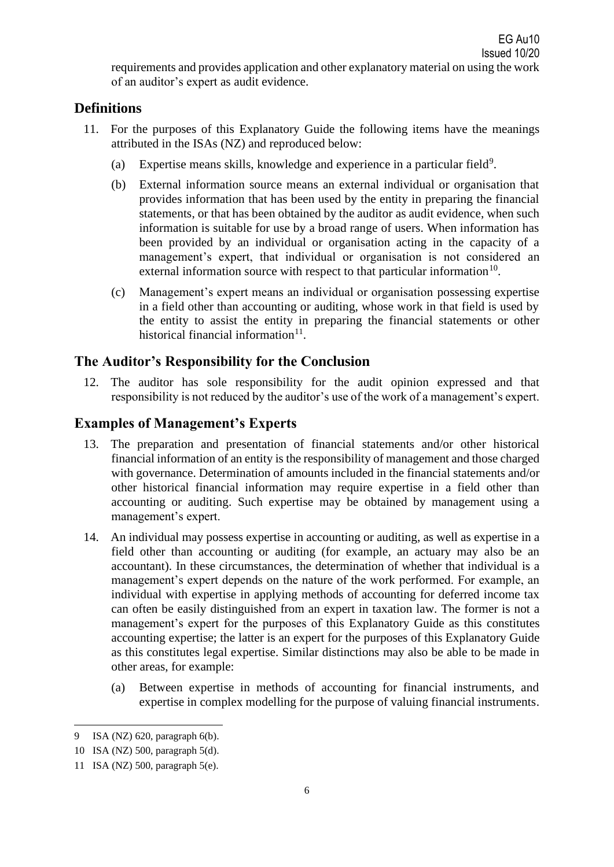requirements and provides application and other explanatory material on using the work of an auditor's expert as audit evidence.

# **Definitions**

- 11. For the purposes of this Explanatory Guide the following items have the meanings attributed in the ISAs (NZ) and reproduced below:
	- (a) Expertise means skills, knowledge and experience in a particular field<sup>9</sup>.
	- (b) External information source means an external individual or organisation that provides information that has been used by the entity in preparing the financial statements, or that has been obtained by the auditor as audit evidence, when such information is suitable for use by a broad range of users. When information has been provided by an individual or organisation acting in the capacity of a management's expert, that individual or organisation is not considered an external information source with respect to that particular information<sup>10</sup>.
	- (c) Management's expert means an individual or organisation possessing expertise in a field other than accounting or auditing, whose work in that field is used by the entity to assist the entity in preparing the financial statements or other historical financial information<sup>11</sup>.

# **The Auditor's Responsibility for the Conclusion**

12. The auditor has sole responsibility for the audit opinion expressed and that responsibility is not reduced by the auditor's use of the work of a management's expert.

# **Examples of Management's Experts**

- 13. The preparation and presentation of financial statements and/or other historical financial information of an entity is the responsibility of management and those charged with governance. Determination of amounts included in the financial statements and/or other historical financial information may require expertise in a field other than accounting or auditing. Such expertise may be obtained by management using a management's expert.
- 14. An individual may possess expertise in accounting or auditing, as well as expertise in a field other than accounting or auditing (for example, an actuary may also be an accountant). In these circumstances, the determination of whether that individual is a management's expert depends on the nature of the work performed. For example, an individual with expertise in applying methods of accounting for deferred income tax can often be easily distinguished from an expert in taxation law. The former is not a management's expert for the purposes of this Explanatory Guide as this constitutes accounting expertise; the latter is an expert for the purposes of this Explanatory Guide as this constitutes legal expertise. Similar distinctions may also be able to be made in other areas, for example:
	- (a) Between expertise in methods of accounting for financial instruments, and expertise in complex modelling for the purpose of valuing financial instruments.

<sup>9</sup> ISA (NZ) 620, paragraph 6(b).

<sup>10</sup> ISA (NZ) 500, paragraph 5(d).

<sup>11</sup> ISA (NZ) 500, paragraph 5(e).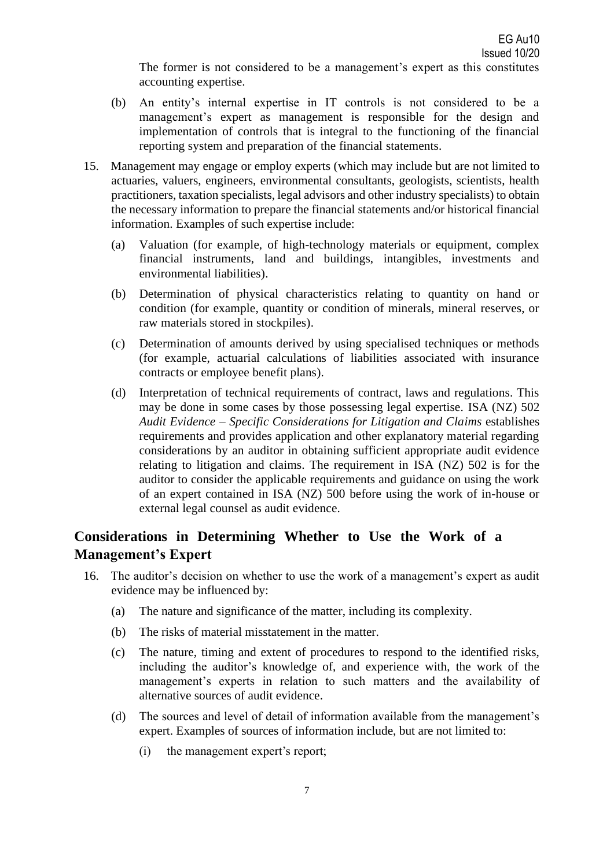The former is not considered to be a management's expert as this constitutes accounting expertise.

- (b) An entity's internal expertise in IT controls is not considered to be a management's expert as management is responsible for the design and implementation of controls that is integral to the functioning of the financial reporting system and preparation of the financial statements.
- 15. Management may engage or employ experts (which may include but are not limited to actuaries, valuers, engineers, environmental consultants, geologists, scientists, health practitioners, taxation specialists, legal advisors and other industry specialists) to obtain the necessary information to prepare the financial statements and/or historical financial information. Examples of such expertise include:
	- (a) Valuation (for example, of high-technology materials or equipment, complex financial instruments, land and buildings, intangibles, investments and environmental liabilities).
	- (b) Determination of physical characteristics relating to quantity on hand or condition (for example, quantity or condition of minerals, mineral reserves, or raw materials stored in stockpiles).
	- (c) Determination of amounts derived by using specialised techniques or methods (for example, actuarial calculations of liabilities associated with insurance contracts or employee benefit plans).
	- (d) Interpretation of technical requirements of contract, laws and regulations. This may be done in some cases by those possessing legal expertise. ISA (NZ) 502 *Audit Evidence – Specific Considerations for Litigation and Claims* establishes requirements and provides application and other explanatory material regarding considerations by an auditor in obtaining sufficient appropriate audit evidence relating to litigation and claims. The requirement in ISA (NZ) 502 is for the auditor to consider the applicable requirements and guidance on using the work of an expert contained in ISA (NZ) 500 before using the work of in-house or external legal counsel as audit evidence.

# **Considerations in Determining Whether to Use the Work of a Management's Expert**

- 16. The auditor's decision on whether to use the work of a management's expert as audit evidence may be influenced by:
	- (a) The nature and significance of the matter, including its complexity.
	- (b) The risks of material misstatement in the matter.
	- (c) The nature, timing and extent of procedures to respond to the identified risks, including the auditor's knowledge of, and experience with, the work of the management's experts in relation to such matters and the availability of alternative sources of audit evidence.
	- (d) The sources and level of detail of information available from the management's expert. Examples of sources of information include, but are not limited to:
		- (i) the management expert's report;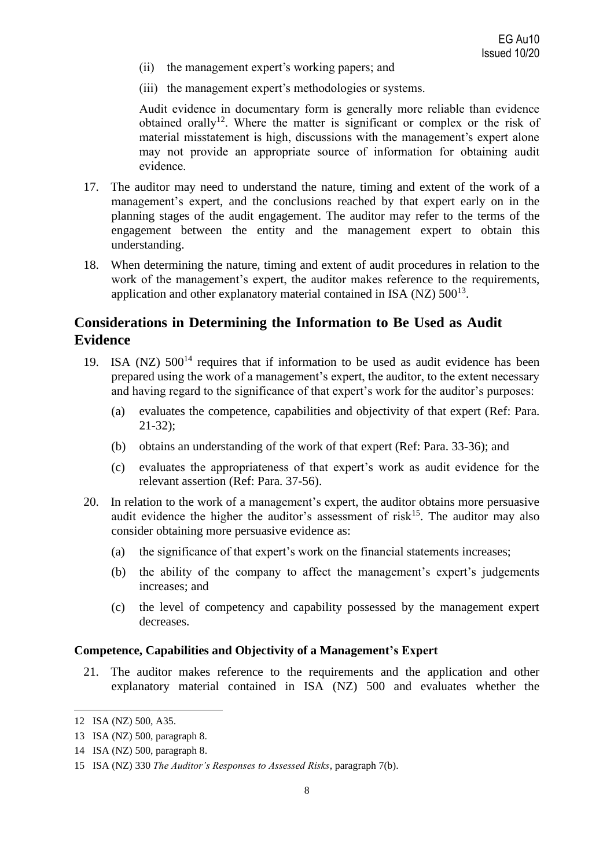- (ii) the management expert's working papers; and
- (iii) the management expert's methodologies or systems.

Audit evidence in documentary form is generally more reliable than evidence obtained orally<sup>12</sup>. Where the matter is significant or complex or the risk of material misstatement is high, discussions with the management's expert alone may not provide an appropriate source of information for obtaining audit evidence.

- 17. The auditor may need to understand the nature, timing and extent of the work of a management's expert, and the conclusions reached by that expert early on in the planning stages of the audit engagement. The auditor may refer to the terms of the engagement between the entity and the management expert to obtain this understanding.
- 18. When determining the nature, timing and extent of audit procedures in relation to the work of the management's expert, the auditor makes reference to the requirements, application and other explanatory material contained in ISA (NZ)  $500^{13}$ .

# **Considerations in Determining the Information to Be Used as Audit Evidence**

- 19. ISA (NZ)  $500^{14}$  requires that if information to be used as audit evidence has been prepared using the work of a management's expert, the auditor, to the extent necessary and having regard to the significance of that expert's work for the auditor's purposes:
	- (a) evaluates the competence, capabilities and objectivity of that expert (Ref: Para. 21-32);
	- (b) obtains an understanding of the work of that expert (Ref: Para. 33-36); and
	- (c) evaluates the appropriateness of that expert's work as audit evidence for the relevant assertion (Ref: Para. 37-56).
- 20. In relation to the work of a management's expert, the auditor obtains more persuasive audit evidence the higher the auditor's assessment of risk<sup>15</sup>. The auditor may also consider obtaining more persuasive evidence as:
	- (a) the significance of that expert's work on the financial statements increases;
	- (b) the ability of the company to affect the management's expert's judgements increases; and
	- (c) the level of competency and capability possessed by the management expert decreases.

#### **Competence, Capabilities and Objectivity of a Management's Expert**

21. The auditor makes reference to the requirements and the application and other explanatory material contained in ISA (NZ) 500 and evaluates whether the

<sup>12</sup> ISA (NZ) 500, A35.

<sup>13</sup> ISA (NZ) 500, paragraph 8.

<sup>14</sup> ISA (NZ) 500, paragraph 8.

<sup>15</sup> ISA (NZ) 330 *The Auditor's Responses to Assessed Risks*, paragraph 7(b).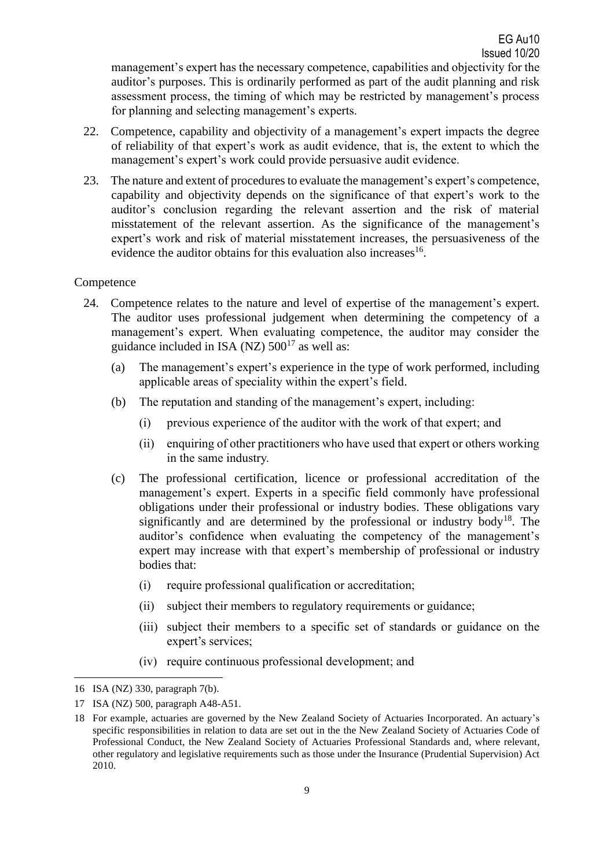management's expert has the necessary competence, capabilities and objectivity for the auditor's purposes. This is ordinarily performed as part of the audit planning and risk assessment process, the timing of which may be restricted by management's process for planning and selecting management's experts.

- 22. Competence, capability and objectivity of a management's expert impacts the degree of reliability of that expert's work as audit evidence, that is, the extent to which the management's expert's work could provide persuasive audit evidence.
- 23. The nature and extent of procedures to evaluate the management's expert's competence, capability and objectivity depends on the significance of that expert's work to the auditor's conclusion regarding the relevant assertion and the risk of material misstatement of the relevant assertion. As the significance of the management's expert's work and risk of material misstatement increases, the persuasiveness of the evidence the auditor obtains for this evaluation also increases<sup>16</sup>.

## **Competence**

- 24. Competence relates to the nature and level of expertise of the management's expert. The auditor uses professional judgement when determining the competency of a management's expert. When evaluating competence, the auditor may consider the guidance included in ISA (NZ)  $500^{17}$  as well as:
	- (a) The management's expert's experience in the type of work performed, including applicable areas of speciality within the expert's field.
	- (b) The reputation and standing of the management's expert, including:
		- (i) previous experience of the auditor with the work of that expert; and
		- (ii) enquiring of other practitioners who have used that expert or others working in the same industry.
	- (c) The professional certification, licence or professional accreditation of the management's expert. Experts in a specific field commonly have professional obligations under their professional or industry bodies. These obligations vary significantly and are determined by the professional or industry body<sup>18</sup>. The auditor's confidence when evaluating the competency of the management's expert may increase with that expert's membership of professional or industry bodies that:
		- (i) require professional qualification or accreditation;
		- (ii) subject their members to regulatory requirements or guidance;
		- (iii) subject their members to a specific set of standards or guidance on the expert's services;
		- (iv) require continuous professional development; and

<sup>16</sup> ISA (NZ) 330, paragraph 7(b).

<sup>17</sup> ISA (NZ) 500, paragraph A48-A51.

<sup>18</sup> For example, actuaries are governed by the New Zealand Society of Actuaries Incorporated. An actuary's specific responsibilities in relation to data are set out in the the New Zealand Society of Actuaries Code of Professional Conduct, the New Zealand Society of Actuaries Professional Standards and, where relevant, other regulatory and legislative requirements such as those under the Insurance (Prudential Supervision) Act 2010.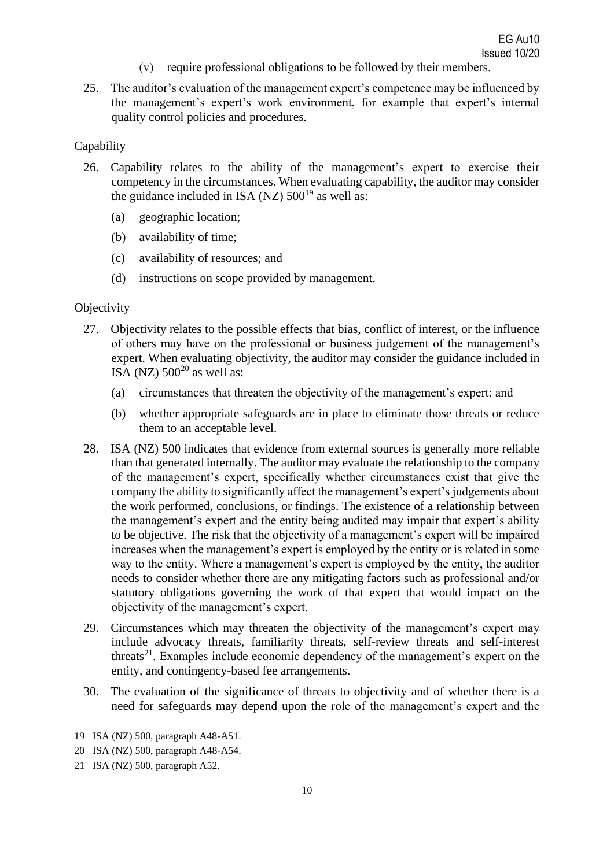- (v) require professional obligations to be followed by their members.
- 25. The auditor's evaluation of the management expert's competence may be influenced by the management's expert's work environment, for example that expert's internal quality control policies and procedures.

#### **Capability**

- 26. Capability relates to the ability of the management's expert to exercise their competency in the circumstances. When evaluating capability, the auditor may consider the guidance included in ISA (NZ)  $500^{19}$  as well as:
	- (a) geographic location;
	- (b) availability of time;
	- (c) availability of resources; and
	- (d) instructions on scope provided by management.

#### **Objectivity**

- 27. Objectivity relates to the possible effects that bias, conflict of interest, or the influence of others may have on the professional or business judgement of the management's expert. When evaluating objectivity, the auditor may consider the guidance included in ISA (NZ)  $500^{20}$  as well as:
	- (a) circumstances that threaten the objectivity of the management's expert; and
	- (b) whether appropriate safeguards are in place to eliminate those threats or reduce them to an acceptable level.
- 28. ISA (NZ) 500 indicates that evidence from external sources is generally more reliable than that generated internally. The auditor may evaluate the relationship to the company of the management's expert, specifically whether circumstances exist that give the company the ability to significantly affect the management's expert's judgements about the work performed, conclusions, or findings. The existence of a relationship between the management's expert and the entity being audited may impair that expert's ability to be objective. The risk that the objectivity of a management's expert will be impaired increases when the management's expert is employed by the entity or is related in some way to the entity. Where a management's expert is employed by the entity, the auditor needs to consider whether there are any mitigating factors such as professional and/or statutory obligations governing the work of that expert that would impact on the objectivity of the management's expert.
- 29. Circumstances which may threaten the objectivity of the management's expert may include advocacy threats, familiarity threats, self-review threats and self-interest threats $21$ . Examples include economic dependency of the management's expert on the entity, and contingency-based fee arrangements.
- 30. The evaluation of the significance of threats to objectivity and of whether there is a need for safeguards may depend upon the role of the management's expert and the

<sup>19</sup> ISA (NZ) 500, paragraph A48-A51.

<sup>20</sup> ISA (NZ) 500, paragraph A48-A54.

<sup>21</sup> ISA (NZ) 500, paragraph A52.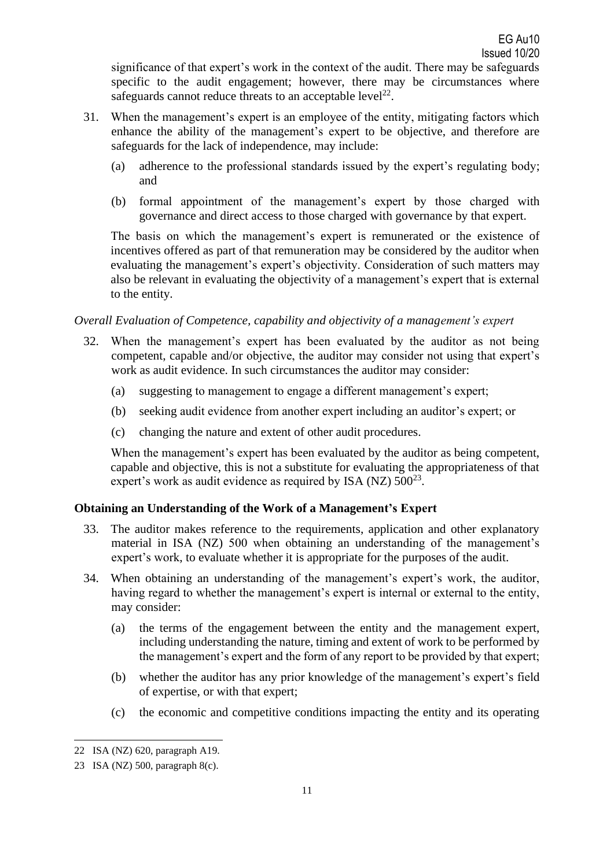significance of that expert's work in the context of the audit. There may be safeguards specific to the audit engagement; however, there may be circumstances where safeguards cannot reduce threats to an acceptable level<sup>22</sup>.

- 31. When the management's expert is an employee of the entity, mitigating factors which enhance the ability of the management's expert to be objective, and therefore are safeguards for the lack of independence, may include:
	- (a) adherence to the professional standards issued by the expert's regulating body; and
	- (b) formal appointment of the management's expert by those charged with governance and direct access to those charged with governance by that expert.

The basis on which the management's expert is remunerated or the existence of incentives offered as part of that remuneration may be considered by the auditor when evaluating the management's expert's objectivity. Consideration of such matters may also be relevant in evaluating the objectivity of a management's expert that is external to the entity.

## *Overall Evaluation of Competence, capability and objectivity of a management's expert*

- 32. When the management's expert has been evaluated by the auditor as not being competent, capable and/or objective, the auditor may consider not using that expert's work as audit evidence. In such circumstances the auditor may consider:
	- (a) suggesting to management to engage a different management's expert;
	- (b) seeking audit evidence from another expert including an auditor's expert; or
	- (c) changing the nature and extent of other audit procedures.

When the management's expert has been evaluated by the auditor as being competent, capable and objective, this is not a substitute for evaluating the appropriateness of that expert's work as audit evidence as required by ISA (NZ)  $500^{23}$ .

## **Obtaining an Understanding of the Work of a Management's Expert**

- 33. The auditor makes reference to the requirements, application and other explanatory material in ISA (NZ) 500 when obtaining an understanding of the management's expert's work, to evaluate whether it is appropriate for the purposes of the audit.
- 34. When obtaining an understanding of the management's expert's work, the auditor, having regard to whether the management's expert is internal or external to the entity, may consider:
	- (a) the terms of the engagement between the entity and the management expert, including understanding the nature, timing and extent of work to be performed by the management's expert and the form of any report to be provided by that expert;
	- (b) whether the auditor has any prior knowledge of the management's expert's field of expertise, or with that expert;
	- (c) the economic and competitive conditions impacting the entity and its operating

<sup>22</sup> ISA (NZ) 620, paragraph A19.

<sup>23</sup> ISA (NZ) 500, paragraph 8(c).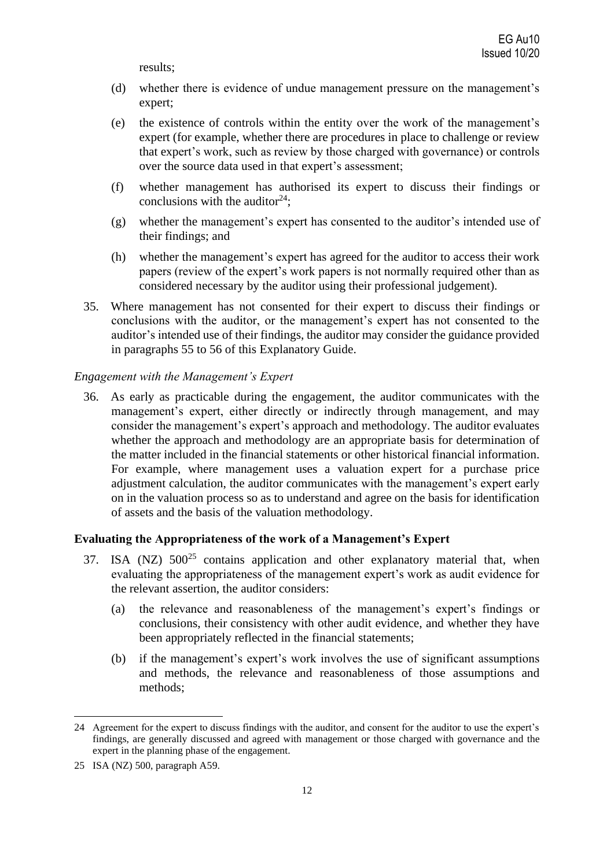results;

- (d) whether there is evidence of undue management pressure on the management's expert;
- (e) the existence of controls within the entity over the work of the management's expert (for example, whether there are procedures in place to challenge or review that expert's work, such as review by those charged with governance) or controls over the source data used in that expert's assessment;
- (f) whether management has authorised its expert to discuss their findings or conclusions with the auditor<sup>24</sup>;
- (g) whether the management's expert has consented to the auditor's intended use of their findings; and
- (h) whether the management's expert has agreed for the auditor to access their work papers (review of the expert's work papers is not normally required other than as considered necessary by the auditor using their professional judgement).
- 35. Where management has not consented for their expert to discuss their findings or conclusions with the auditor, or the management's expert has not consented to the auditor's intended use of their findings, the auditor may consider the guidance provided in paragraphs 55 to 56 of this Explanatory Guide.

#### *Engagement with the Management's Expert*

36. As early as practicable during the engagement, the auditor communicates with the management's expert, either directly or indirectly through management, and may consider the management's expert's approach and methodology. The auditor evaluates whether the approach and methodology are an appropriate basis for determination of the matter included in the financial statements or other historical financial information. For example, where management uses a valuation expert for a purchase price adjustment calculation, the auditor communicates with the management's expert early on in the valuation process so as to understand and agree on the basis for identification of assets and the basis of the valuation methodology.

#### **Evaluating the Appropriateness of the work of a Management's Expert**

- 37. ISA (NZ)  $500^{25}$  contains application and other explanatory material that, when evaluating the appropriateness of the management expert's work as audit evidence for the relevant assertion, the auditor considers:
	- (a) the relevance and reasonableness of the management's expert's findings or conclusions, their consistency with other audit evidence, and whether they have been appropriately reflected in the financial statements;
	- (b) if the management's expert's work involves the use of significant assumptions and methods, the relevance and reasonableness of those assumptions and methods;

<sup>24</sup> Agreement for the expert to discuss findings with the auditor, and consent for the auditor to use the expert's findings, are generally discussed and agreed with management or those charged with governance and the expert in the planning phase of the engagement.

<sup>25</sup> ISA (NZ) 500, paragraph A59.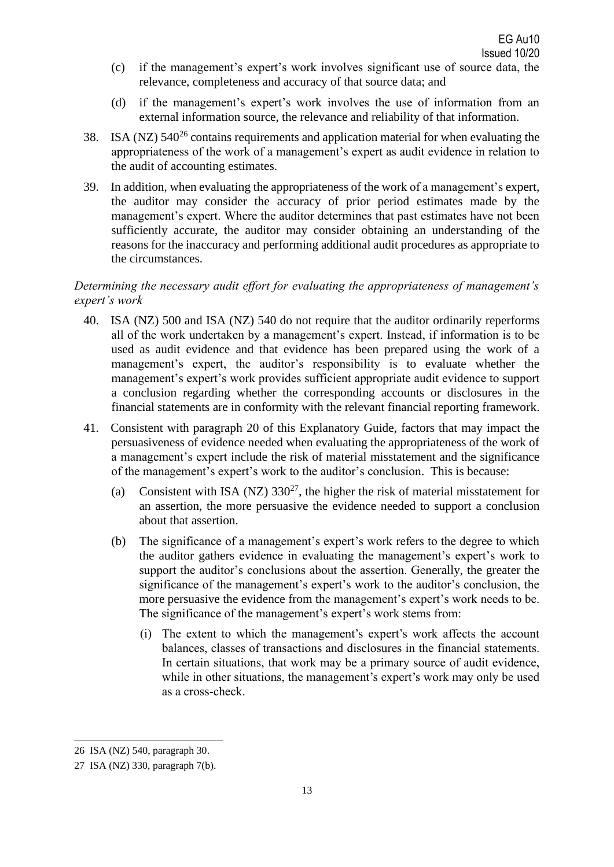- (c) if the management's expert's work involves significant use of source data, the relevance, completeness and accuracy of that source data; and
- (d) if the management's expert's work involves the use of information from an external information source, the relevance and reliability of that information.
- 38. ISA (NZ)  $540^{26}$  contains requirements and application material for when evaluating the appropriateness of the work of a management's expert as audit evidence in relation to the audit of accounting estimates.
- 39. In addition, when evaluating the appropriateness of the work of a management's expert, the auditor may consider the accuracy of prior period estimates made by the management's expert. Where the auditor determines that past estimates have not been sufficiently accurate, the auditor may consider obtaining an understanding of the reasons for the inaccuracy and performing additional audit procedures as appropriate to the circumstances.

## *Determining the necessary audit effort for evaluating the appropriateness of management's expert's work*

- 40. ISA (NZ) 500 and ISA (NZ) 540 do not require that the auditor ordinarily reperforms all of the work undertaken by a management's expert. Instead, if information is to be used as audit evidence and that evidence has been prepared using the work of a management's expert, the auditor's responsibility is to evaluate whether the management's expert's work provides sufficient appropriate audit evidence to support a conclusion regarding whether the corresponding accounts or disclosures in the financial statements are in conformity with the relevant financial reporting framework.
- 41. Consistent with paragraph 20 of this Explanatory Guide, factors that may impact the persuasiveness of evidence needed when evaluating the appropriateness of the work of a management's expert include the risk of material misstatement and the significance of the management's expert's work to the auditor's conclusion. This is because:
	- (a) Consistent with ISA (NZ)  $330^{27}$ , the higher the risk of material misstatement for an assertion, the more persuasive the evidence needed to support a conclusion about that assertion.
	- (b) The significance of a management's expert's work refers to the degree to which the auditor gathers evidence in evaluating the management's expert's work to support the auditor's conclusions about the assertion. Generally, the greater the significance of the management's expert's work to the auditor's conclusion, the more persuasive the evidence from the management's expert's work needs to be. The significance of the management's expert's work stems from:
		- (i) The extent to which the management's expert's work affects the account balances, classes of transactions and disclosures in the financial statements. In certain situations, that work may be a primary source of audit evidence, while in other situations, the management's expert's work may only be used as a cross-check.

<sup>26</sup> ISA (NZ) 540, paragraph 30.

<sup>27</sup> ISA (NZ) 330, paragraph 7(b).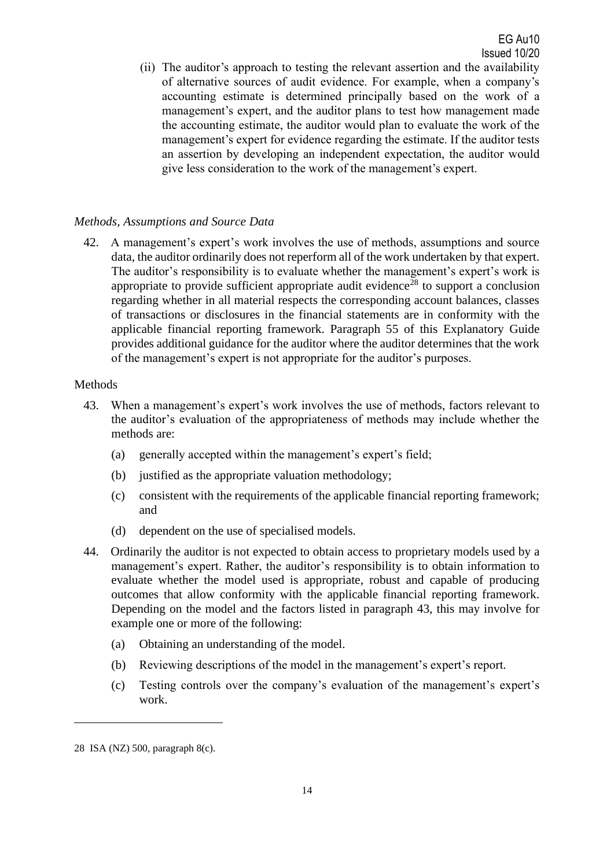(ii) The auditor's approach to testing the relevant assertion and the availability of alternative sources of audit evidence. For example, when a company's accounting estimate is determined principally based on the work of a management's expert, and the auditor plans to test how management made the accounting estimate, the auditor would plan to evaluate the work of the management's expert for evidence regarding the estimate. If the auditor tests an assertion by developing an independent expectation, the auditor would give less consideration to the work of the management's expert.

## *Methods, Assumptions and Source Data*

42. A management's expert's work involves the use of methods, assumptions and source data, the auditor ordinarily does not reperform all of the work undertaken by that expert. The auditor's responsibility is to evaluate whether the management's expert's work is appropriate to provide sufficient appropriate audit evidence<sup>28</sup> to support a conclusion regarding whether in all material respects the corresponding account balances, classes of transactions or disclosures in the financial statements are in conformity with the applicable financial reporting framework. Paragraph 55 of this Explanatory Guide provides additional guidance for the auditor where the auditor determines that the work of the management's expert is not appropriate for the auditor's purposes.

## Methods

- 43. When a management's expert's work involves the use of methods, factors relevant to the auditor's evaluation of the appropriateness of methods may include whether the methods are:
	- (a) generally accepted within the management's expert's field;
	- (b) justified as the appropriate valuation methodology;
	- (c) consistent with the requirements of the applicable financial reporting framework; and
	- (d) dependent on the use of specialised models.
- 44. Ordinarily the auditor is not expected to obtain access to proprietary models used by a management's expert. Rather, the auditor's responsibility is to obtain information to evaluate whether the model used is appropriate, robust and capable of producing outcomes that allow conformity with the applicable financial reporting framework. Depending on the model and the factors listed in paragraph 43, this may involve for example one or more of the following:
	- (a) Obtaining an understanding of the model.
	- (b) Reviewing descriptions of the model in the management's expert's report.
	- (c) Testing controls over the company's evaluation of the management's expert's work.

<sup>28</sup> ISA (NZ) 500, paragraph 8(c).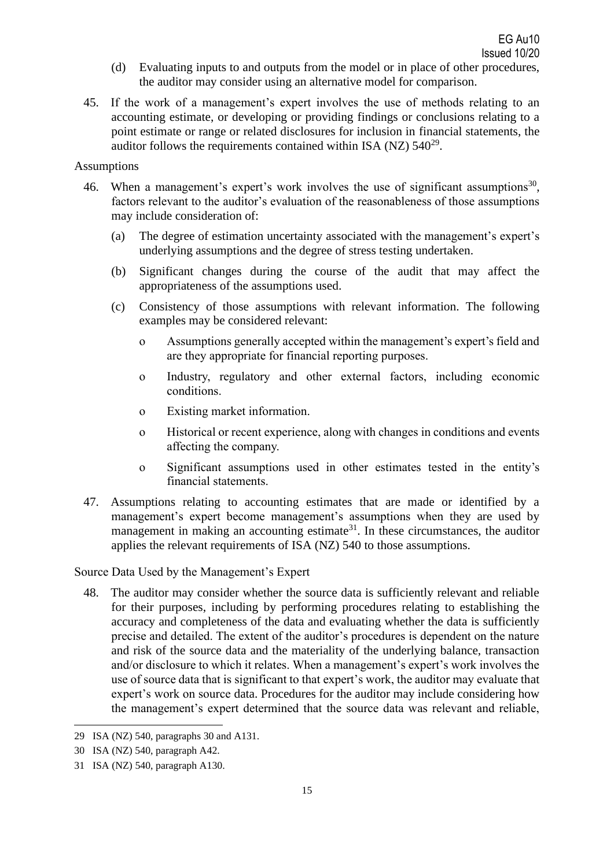- (d) Evaluating inputs to and outputs from the model or in place of other procedures, the auditor may consider using an alternative model for comparison.
- 45. If the work of a management's expert involves the use of methods relating to an accounting estimate, or developing or providing findings or conclusions relating to a point estimate or range or related disclosures for inclusion in financial statements, the auditor follows the requirements contained within ISA (NZ)  $540^{29}$ .

#### Assumptions

- 46. When a management's expert's work involves the use of significant assumptions<sup>30</sup>, factors relevant to the auditor's evaluation of the reasonableness of those assumptions may include consideration of:
	- (a) The degree of estimation uncertainty associated with the management's expert's underlying assumptions and the degree of stress testing undertaken.
	- (b) Significant changes during the course of the audit that may affect the appropriateness of the assumptions used.
	- (c) Consistency of those assumptions with relevant information. The following examples may be considered relevant:
		- o Assumptions generally accepted within the management's expert's field and are they appropriate for financial reporting purposes.
		- o Industry, regulatory and other external factors, including economic conditions.
		- o Existing market information.
		- o Historical or recent experience, along with changes in conditions and events affecting the company.
		- o Significant assumptions used in other estimates tested in the entity's financial statements.
- 47. Assumptions relating to accounting estimates that are made or identified by a management's expert become management's assumptions when they are used by management in making an accounting estimate<sup>31</sup>. In these circumstances, the auditor applies the relevant requirements of ISA (NZ) 540 to those assumptions.

Source Data Used by the Management's Expert

48. The auditor may consider whether the source data is sufficiently relevant and reliable for their purposes, including by performing procedures relating to establishing the accuracy and completeness of the data and evaluating whether the data is sufficiently precise and detailed. The extent of the auditor's procedures is dependent on the nature and risk of the source data and the materiality of the underlying balance, transaction and/or disclosure to which it relates. When a management's expert's work involves the use of source data that is significant to that expert's work, the auditor may evaluate that expert's work on source data. Procedures for the auditor may include considering how the management's expert determined that the source data was relevant and reliable,

<sup>29</sup> ISA (NZ) 540, paragraphs 30 and A131.

<sup>30</sup> ISA (NZ) 540, paragraph A42.

<sup>31</sup> ISA (NZ) 540, paragraph A130.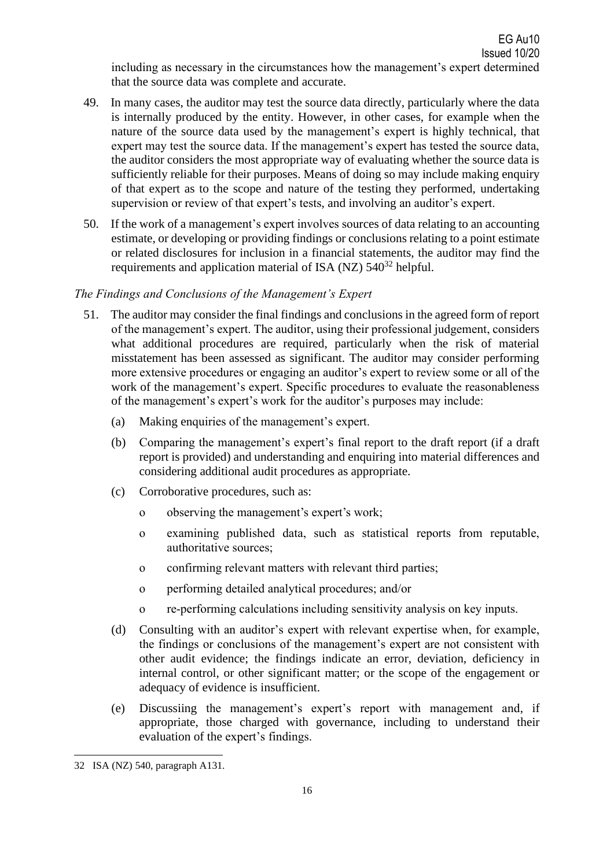including as necessary in the circumstances how the management's expert determined that the source data was complete and accurate.

- 49. In many cases, the auditor may test the source data directly, particularly where the data is internally produced by the entity. However, in other cases, for example when the nature of the source data used by the management's expert is highly technical, that expert may test the source data. If the management's expert has tested the source data, the auditor considers the most appropriate way of evaluating whether the source data is sufficiently reliable for their purposes. Means of doing so may include making enquiry of that expert as to the scope and nature of the testing they performed, undertaking supervision or review of that expert's tests, and involving an auditor's expert.
- 50. If the work of a management's expert involves sources of data relating to an accounting estimate, or developing or providing findings or conclusions relating to a point estimate or related disclosures for inclusion in a financial statements, the auditor may find the requirements and application material of ISA (NZ)  $540^{32}$  helpful.

### *The Findings and Conclusions of the Management's Expert*

- 51. The auditor may consider the final findings and conclusions in the agreed form of report of the management's expert. The auditor, using their professional judgement, considers what additional procedures are required, particularly when the risk of material misstatement has been assessed as significant. The auditor may consider performing more extensive procedures or engaging an auditor's expert to review some or all of the work of the management's expert. Specific procedures to evaluate the reasonableness of the management's expert's work for the auditor's purposes may include:
	- (a) Making enquiries of the management's expert.
	- (b) Comparing the management's expert's final report to the draft report (if a draft report is provided) and understanding and enquiring into material differences and considering additional audit procedures as appropriate.
	- (c) Corroborative procedures, such as:
		- o observing the management's expert's work;
		- o examining published data, such as statistical reports from reputable, authoritative sources;
		- o confirming relevant matters with relevant third parties;
		- o performing detailed analytical procedures; and/or
		- o re-performing calculations including sensitivity analysis on key inputs.
	- (d) Consulting with an auditor's expert with relevant expertise when, for example, the findings or conclusions of the management's expert are not consistent with other audit evidence; the findings indicate an error, deviation, deficiency in internal control, or other significant matter; or the scope of the engagement or adequacy of evidence is insufficient.
	- (e) Discussiing the management's expert's report with management and, if appropriate, those charged with governance, including to understand their evaluation of the expert's findings.

<sup>32</sup> ISA (NZ) 540, paragraph A131.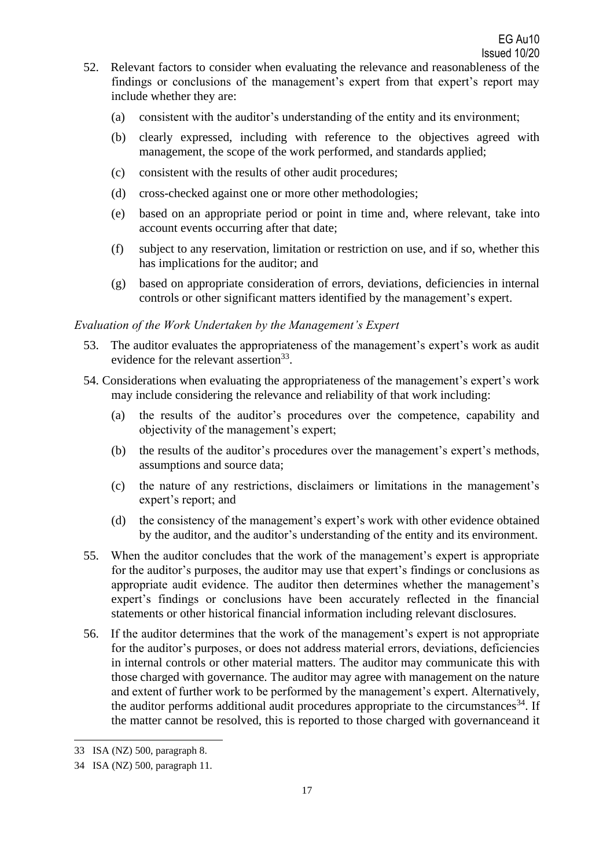- 52. Relevant factors to consider when evaluating the relevance and reasonableness of the findings or conclusions of the management's expert from that expert's report may include whether they are:
	- (a) consistent with the auditor's understanding of the entity and its environment;
	- (b) clearly expressed, including with reference to the objectives agreed with management, the scope of the work performed, and standards applied;
	- (c) consistent with the results of other audit procedures;
	- (d) cross-checked against one or more other methodologies;
	- (e) based on an appropriate period or point in time and, where relevant, take into account events occurring after that date;
	- (f) subject to any reservation, limitation or restriction on use, and if so, whether this has implications for the auditor; and
	- (g) based on appropriate consideration of errors, deviations, deficiencies in internal controls or other significant matters identified by the management's expert.

#### *Evaluation of the Work Undertaken by the Management's Expert*

- 53. The auditor evaluates the appropriateness of the management's expert's work as audit evidence for the relevant assertion<sup>33</sup>.
- 54. Considerations when evaluating the appropriateness of the management's expert's work may include considering the relevance and reliability of that work including:
	- (a) the results of the auditor's procedures over the competence, capability and objectivity of the management's expert;
	- (b) the results of the auditor's procedures over the management's expert's methods, assumptions and source data;
	- (c) the nature of any restrictions, disclaimers or limitations in the management's expert's report; and
	- (d) the consistency of the management's expert's work with other evidence obtained by the auditor, and the auditor's understanding of the entity and its environment.
- 55. When the auditor concludes that the work of the management's expert is appropriate for the auditor's purposes, the auditor may use that expert's findings or conclusions as appropriate audit evidence. The auditor then determines whether the management's expert's findings or conclusions have been accurately reflected in the financial statements or other historical financial information including relevant disclosures.
- 56. If the auditor determines that the work of the management's expert is not appropriate for the auditor's purposes, or does not address material errors, deviations, deficiencies in internal controls or other material matters. The auditor may communicate this with those charged with governance. The auditor may agree with management on the nature and extent of further work to be performed by the management's expert. Alternatively, the auditor performs additional audit procedures appropriate to the circumstances<sup>34</sup>. If the matter cannot be resolved, this is reported to those charged with governanceand it

<sup>33</sup> ISA (NZ) 500, paragraph 8.

<sup>34</sup> ISA (NZ) 500, paragraph 11.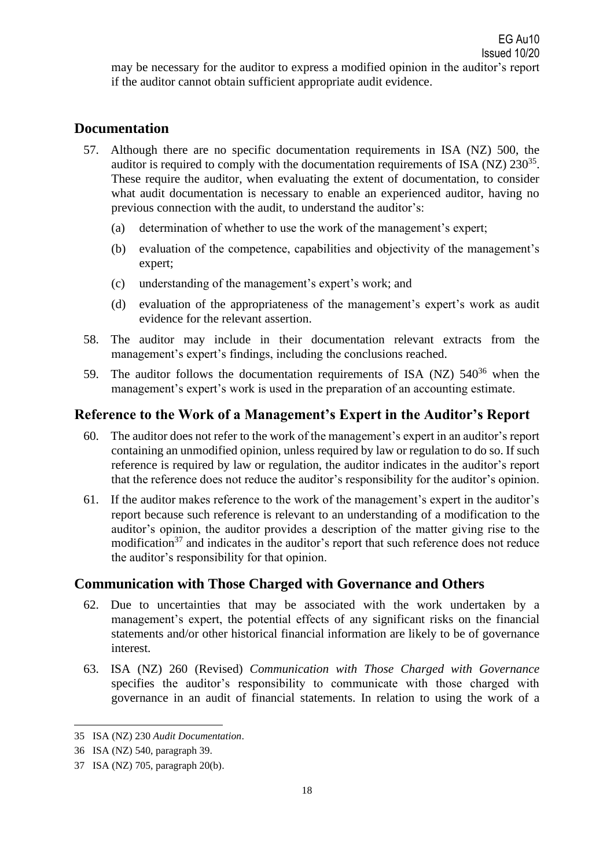may be necessary for the auditor to express a modified opinion in the auditor's report if the auditor cannot obtain sufficient appropriate audit evidence.

# **Documentation**

- 57. Although there are no specific documentation requirements in ISA (NZ) 500, the auditor is required to comply with the documentation requirements of ISA (NZ)  $230^{35}$ . These require the auditor, when evaluating the extent of documentation, to consider what audit documentation is necessary to enable an experienced auditor, having no previous connection with the audit, to understand the auditor's:
	- (a) determination of whether to use the work of the management's expert;
	- (b) evaluation of the competence, capabilities and objectivity of the management's expert;
	- (c) understanding of the management's expert's work; and
	- (d) evaluation of the appropriateness of the management's expert's work as audit evidence for the relevant assertion.
- 58. The auditor may include in their documentation relevant extracts from the management's expert's findings, including the conclusions reached.
- 59. The auditor follows the documentation requirements of ISA (NZ)  $540^{36}$  when the management's expert's work is used in the preparation of an accounting estimate.

# **Reference to the Work of a Management's Expert in the Auditor's Report**

- 60. The auditor does not refer to the work of the management's expert in an auditor's report containing an unmodified opinion, unless required by law or regulation to do so. If such reference is required by law or regulation, the auditor indicates in the auditor's report that the reference does not reduce the auditor's responsibility for the auditor's opinion.
- 61. If the auditor makes reference to the work of the management's expert in the auditor's report because such reference is relevant to an understanding of a modification to the auditor's opinion, the auditor provides a description of the matter giving rise to the modification<sup>37</sup> and indicates in the auditor's report that such reference does not reduce the auditor's responsibility for that opinion.

# **Communication with Those Charged with Governance and Others**

- 62. Due to uncertainties that may be associated with the work undertaken by a management's expert, the potential effects of any significant risks on the financial statements and/or other historical financial information are likely to be of governance interest.
- 63. ISA (NZ) 260 (Revised) *Communication with Those Charged with Governance* specifies the auditor's responsibility to communicate with those charged with governance in an audit of financial statements. In relation to using the work of a

<sup>35</sup> ISA (NZ) 230 *Audit Documentation*.

<sup>36</sup> ISA (NZ) 540, paragraph 39.

<sup>37</sup> ISA (NZ) 705, paragraph 20(b).